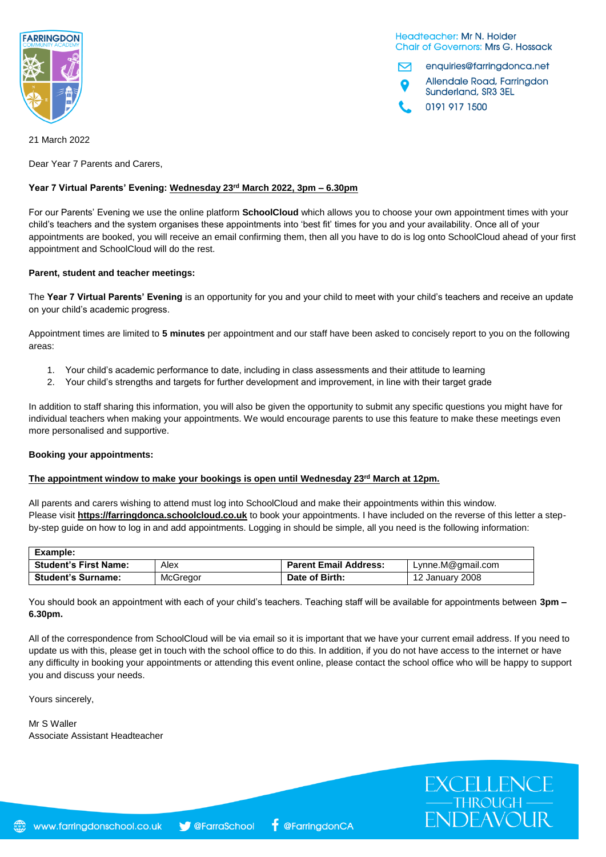

Headteacher: Mr N. Holder **Chair of Governors: Mrs G. Hossack** 

EXCELLENCE<br>
—THROUGH<br>
ENDEAVOUR

enquiries@farringdonca.net M Allendale Road, Farringdon Sunderland, SR3 3EL

0191 917 1500

21 March 2022

Dear Year 7 Parents and Carers,

#### **Year 7 Virtual Parents' Evening: Wednesday 23rd March 2022, 3pm – 6.30pm**

For our Parents' Evening we use the online platform **SchoolCloud** which allows you to choose your own appointment times with your child's teachers and the system organises these appointments into 'best fit' times for you and your availability. Once all of your appointments are booked, you will receive an email confirming them, then all you have to do is log onto SchoolCloud ahead of your first appointment and SchoolCloud will do the rest.

#### **Parent, student and teacher meetings:**

The **Year 7 Virtual Parents' Evening** is an opportunity for you and your child to meet with your child's teachers and receive an update on your child's academic progress.

Appointment times are limited to **5 minutes** per appointment and our staff have been asked to concisely report to you on the following areas:

- 1. Your child's academic performance to date, including in class assessments and their attitude to learning
- 2. Your child's strengths and targets for further development and improvement, in line with their target grade

In addition to staff sharing this information, you will also be given the opportunity to submit any specific questions you might have for individual teachers when making your appointments. We would encourage parents to use this feature to make these meetings even more personalised and supportive.

#### **Booking your appointments:**

#### The appointment window to make your bookings is open until Wednesday 23<sup>rd</sup> March at 12pm.

All parents and carers wishing to attend must log into SchoolCloud and make their appointments within this window. Please visit **https://farringdonca.schoolcloud.co.uk** to book your appointments. I have included on the reverse of this letter a stepby-step guide on how to log in and add appointments. Logging in should be simple, all you need is the following information:

| Example:                     |          |                              |                   |
|------------------------------|----------|------------------------------|-------------------|
| <b>Student's First Name:</b> | Alex     | <b>Parent Email Address:</b> | Lynne.M@gmail.com |
| <b>Student's Surname:</b>    | McGregor | Date of Birth:               | 12 January 2008   |

You should book an appointment with each of your child's teachers. Teaching staff will be available for appointments between **3pm – 6.30pm.**

All of the correspondence from SchoolCloud will be via email so it is important that we have your current email address. If you need to update us with this, please get in touch with the school office to do this. In addition, if you do not have access to the internet or have any difficulty in booking your appointments or attending this event online, please contact the school office who will be happy to support you and discuss your needs.

Yours sincerely,

Mr S Waller Associate Assistant Headteacher